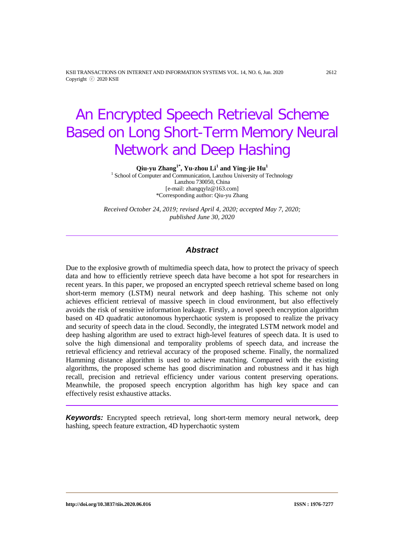KSII TRANSACTIONS ON INTERNET AND INFORMATION SYSTEMS VOL. 14, NO. 6, Jun. 2020 2612 Copyright ⓒ 2020 KSII

# An Encrypted Speech Retrieval Scheme Based on Long Short-Term Memory Neural Network and Deep Hashing

**Qiu-yu Zhang1\* , Yu-zhou Li<sup>1</sup> and Ying-jie Hu1**

<sup>1</sup> School of Computer and Communication, Lanzhou University of Technology Lanzhou 730050, China [e-mail: zhangqylz@163.com] \*Corresponding author: Qiu-yu Zhang

*Received October 24, 2019; revised April 4, 2020; accepted May 7, 2020; published June 30, 2020*

# *Abstract*

Due to the explosive growth of multimedia speech data, how to protect the privacy of speech data and how to efficiently retrieve speech data have become a hot spot for researchers in recent years. In this paper, we proposed an encrypted speech retrieval scheme based on long short-term memory (LSTM) neural network and deep hashing. This scheme not only achieves efficient retrieval of massive speech in cloud environment, but also effectively avoids the risk of sensitive information leakage. Firstly, a novel speech encryption algorithm based on 4D quadratic autonomous hyperchaotic system is proposed to realize the privacy and security of speech data in the cloud. Secondly, the integrated LSTM network model and deep hashing algorithm are used to extract high-level features of speech data. It is used to solve the high dimensional and temporality problems of speech data, and increase the retrieval efficiency and retrieval accuracy of the proposed scheme. Finally, the normalized Hamming distance algorithm is used to achieve matching. Compared with the existing algorithms, the proposed scheme has good discrimination and robustness and it has high recall, precision and retrieval efficiency under various content preserving operations. Meanwhile, the proposed speech encryption algorithm has high key space and can effectively resist exhaustive attacks.

*Keywords:* Encrypted speech retrieval, long short-term memory neural network, deep hashing, speech feature extraction, 4D hyperchaotic system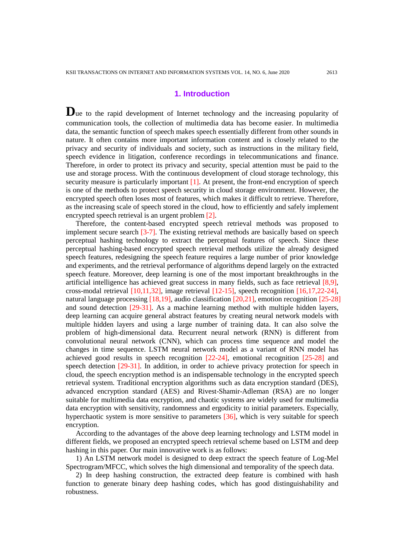# **1. Introduction**

Due to the rapid development of Internet technology and the increasing popularity of communication tools, the collection of multimedia data has become easier. In multimedia data, the semantic function of speech makes speech essentially different from other sounds in nature. It often contains more important information content and is closely related to the privacy and security of individuals and society, such as instructions in the military field, speech evidence in litigation, conference recordings in telecommunications and finance. Therefore, in order to protect its privacy and security, special attention must be paid to the use and storage process. With the continuous development of cloud storage technology, this security measure is particularly important [1]. At present, the front-end encryption of speech is one of the methods to protect speech security in cloud storage environment. However, the encrypted speech often loses most of features, which makes it difficult to retrieve. Therefore, as the increasing scale of speech stored in the cloud, how to efficiently and safely implement encrypted speech retrieval is an urgent problem [2].

Therefore, the content-based encrypted speech retrieval methods was proposed to implement secure search [3-7]. The existing retrieval methods are basically based on speech perceptual hashing technology to extract the perceptual features of speech. Since these perceptual hashing-based encrypted speech retrieval methods utilize the already designed speech features, redesigning the speech feature requires a large number of prior knowledge and experiments, and the retrieval performance of algorithms depend largely on the extracted speech feature. Moreover, deep learning is one of the most important breakthroughs in the artificial intelligence has achieved great success in many fields, such as face retrieval [8,9], cross-modal retrieval [10,11,32], image retrieval [12-15], speech recognition [16,17,22-24], natural language processing [18,19], audio classification [20,21], emotion recognition [25-28] and sound detection [29-31]. As a machine learning method with multiple hidden layers, deep learning can acquire general abstract features by creating neural network models with multiple hidden layers and using a large number of training data. It can also solve the problem of high-dimensional data. Recurrent neural network (RNN) is different from convolutional neural network (CNN), which can process time sequence and model the changes in time sequence. LSTM neural network model as a variant of RNN model has achieved good results in speech recognition [22-24], emotional recognition [25-28] and speech detection [29-31]. In addition, in order to achieve privacy protection for speech in cloud, the speech encryption method is an indispensable technology in the encrypted speech retrieval system. Traditional encryption algorithms such as data encryption standard (DES), advanced encryption standard (AES) and Rivest-Shamir-Adleman (RSA) are no longer suitable for multimedia data encryption, and chaotic systems are widely used for multimedia data encryption with sensitivity, randomness and ergodicity to initial parameters. Especially, hyperchaotic system is more sensitive to parameters [36], which is very suitable for speech encryption.

According to the advantages of the above deep learning technology and LSTM model in different fields, we proposed an encrypted speech retrieval scheme based on LSTM and deep hashing in this paper. Our main innovative work is as follows:

1) An LSTM network model is designed to deep extract the speech feature of Log-Mel Spectrogram/MFCC, which solves the high dimensional and temporality of the speech data.

2) In deep hashing construction, the extracted deep feature is combined with hash function to generate binary deep hashing codes, which has good distinguishability and robustness.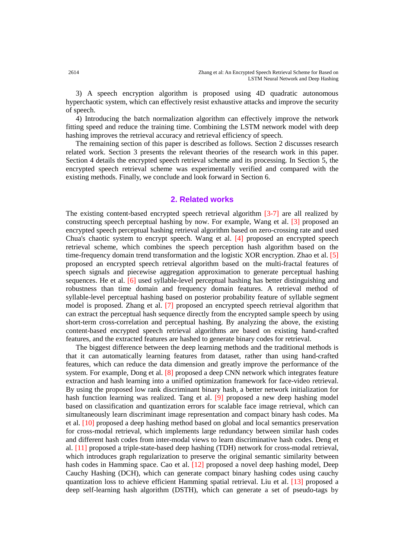3) A speech encryption algorithm is proposed using 4D quadratic autonomous hyperchaotic system, which can effectively resist exhaustive attacks and improve the security of speech.

4) Introducing the batch normalization algorithm can effectively improve the network fitting speed and reduce the training time. Combining the LSTM network model with deep hashing improves the retrieval accuracy and retrieval efficiency of speech.

The remaining section of this paper is described as follows. Section 2 discusses research related work. Section 3 presents the relevant theories of the research work in this paper. Section 4 details the encrypted speech retrieval scheme and its processing. In Section 5, the encrypted speech retrieval scheme was experimentally verified and compared with the existing methods. Finally, we conclude and look forward in Section 6.

# **2. Related works**

The existing content-based encrypted speech retrieval algorithm [3-7] are all realized by constructing speech perceptual hashing by now. For example, Wang et al. [3] proposed an encrypted speech perceptual hashing retrieval algorithm based on zero-crossing rate and used Chua's chaotic system to encrypt speech. Wang et al. [4] proposed an encrypted speech retrieval scheme, which combines the speech perception hash algorithm based on the time-frequency domain trend transformation and the logistic XOR encryption. Zhao et al. [5] proposed an encrypted speech retrieval algorithm based on the multi-fractal features of speech signals and piecewise aggregation approximation to generate perceptual hashing sequences. He et al. [6] used syllable-level perceptual hashing has better distinguishing and robustness than time domain and frequency domain features. A retrieval method of syllable-level perceptual hashing based on posterior probability feature of syllable segment model is proposed. Zhang et al. [7] proposed an encrypted speech retrieval algorithm that can extract the perceptual hash sequence directly from the encrypted sample speech by using short-term cross-correlation and perceptual hashing. By analyzing the above, the existing content-based encrypted speech retrieval algorithms are based on existing hand-crafted features, and the extracted features are hashed to generate binary codes for retrieval.

The biggest difference between the deep learning methods and the traditional methods is that it can automatically learning features from dataset, rather than using hand-crafted features, which can reduce the data dimension and greatly improve the performance of the system. For example, Dong et al. [8] proposed a deep CNN network which integrates feature extraction and hash learning into a unified optimization framework for face-video retrieval. By using the proposed low rank discriminant binary hash, a better network initialization for hash function learning was realized. Tang et al. [9] proposed a new deep hashing model based on classification and quantization errors for scalable face image retrieval, which can simultaneously learn discriminant image representation and compact binary hash codes. Ma et al. [10] proposed a deep hashing method based on global and local semantics preservation for cross-modal retrieval, which implements large redundancy between similar hash codes and different hash codes from inter-modal views to learn discriminative hash codes. Deng et al. [11] proposed a triple-state-based deep hashing (TDH) network for cross-modal retrieval, which introduces graph regularization to preserve the original semantic similarity between hash codes in Hamming space. Cao et al. [12] proposed a novel deep hashing model. Deep Cauchy Hashing (DCH), which can generate compact binary hashing codes using cauchy quantization loss to achieve efficient Hamming spatial retrieval. Liu et al. [13] proposed a deep self-learning hash algorithm (DSTH), which can generate a set of pseudo-tags by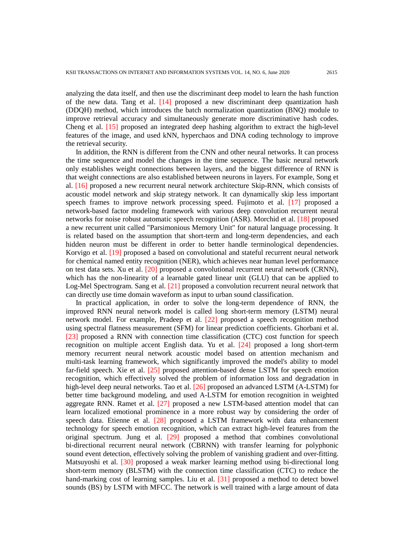analyzing the data itself, and then use the discriminant deep model to learn the hash function of the new data. Tang et al. [14] proposed a new discriminant deep quantization hash (DDQH) method, which introduces the batch normalization quantization (BNQ) module to improve retrieval accuracy and simultaneously generate more discriminative hash codes. Cheng et al. [15] proposed an integrated deep hashing algorithm to extract the high-level features of the image, and used kNN, hyperchaos and DNA coding technology to improve the retrieval security.

In addition, the RNN is different from the CNN and other neural networks. It can process the time sequence and model the changes in the time sequence. The basic neural network only establishes weight connections between layers, and the biggest difference of RNN is that weight connections are also established between neurons in layers. For example, Song et al. [16] proposed a new recurrent neural network architecture Skip-RNN, which consists of acoustic model network and skip strategy network. It can dynamically skip less important speech frames to improve network processing speed. Fujimoto et al. [17] proposed a network-based factor modeling framework with various deep convolution recurrent neural networks for noise robust automatic speech recognition (ASR). Morchid et al. [18] proposed a new recurrent unit called "Parsimonious Memory Unit" for natural language processing. It is related based on the assumption that short-term and long-term dependencies, and each hidden neuron must be different in order to better handle terminological dependencies. Korvigo et al. [19] proposed a based on convolutional and stateful recurrent neural network for chemical named entity recognition (NER), which achieves near human level performance on test data sets. Xu et al. [20] proposed a convolutional recurrent neural network (CRNN), which has the non-linearity of a learnable gated linear unit (GLU) that can be applied to Log-Mel Spectrogram. Sang et al. [21] proposed a convolution recurrent neural network that can directly use time domain waveform as input to urban sound classification.

In practical application, in order to solve the long-term dependence of RNN, the improved RNN neural network model is called long short-term memory (LSTM) neural network model. For example, Pradeep et al. [22] proposed a speech recognition method using spectral flatness measurement (SFM) for linear prediction coefficients. Ghorbani et al. [23] proposed a RNN with connection time classification (CTC) cost function for speech recognition on multiple accent English data. Yu et al. [24] proposed a long short-term memory recurrent neural network acoustic model based on attention mechanism and multi-task learning framework, which significantly improved the model's ability to model far-field speech. Xie et al. [25] proposed attention-based dense LSTM for speech emotion recognition, which effectively solved the problem of information loss and degradation in high-level deep neural networks. Tao et al. [26] proposed an advanced LSTM (A-LSTM) for better time background modeling, and used A-LSTM for emotion recognition in weighted aggregate RNN. Ramet et al. [27] proposed a new LSTM-based attention model that can learn localized emotional prominence in a more robust way by considering the order of speech data. Etienne et al. [28] proposed a LSTM framework with data enhancement technology for speech emotion recognition, which can extract high-level features from the original spectrum. Jung et al. [29] proposed a method that combines convolutional bi-directional recurrent neural network (CBRNN) with transfer learning for polyphonic sound event detection, effectively solving the problem of vanishing gradient and over-fitting. Matsuyoshi et al. [30] proposed a weak marker learning method using bi-directional long short-term memory (BLSTM) with the connection time classification (CTC) to reduce the hand-marking cost of learning samples. Liu et al. [31] proposed a method to detect bowel sounds (BS) by LSTM with MFCC. The network is well trained with a large amount of data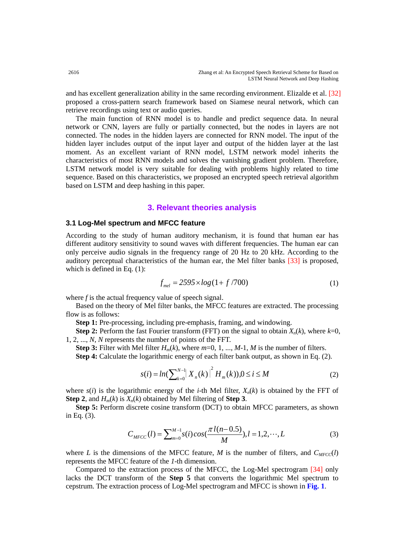and has excellent generalization ability in the same recording environment. Elizalde et al. [32] proposed a cross-pattern search framework based on Siamese neural network, which can retrieve recordings using text or audio queries.

The main function of RNN model is to handle and predict sequence data. In neural network or CNN, layers are fully or partially connected, but the nodes in layers are not connected. The nodes in the hidden layers are connected for RNN model. The input of the hidden layer includes output of the input layer and output of the hidden layer at the last moment. As an excellent variant of RNN model, LSTM network model inherits the characteristics of most RNN models and solves the vanishing gradient problem. Therefore, LSTM network model is very suitable for dealing with problems highly related to time sequence. Based on this characteristics, we proposed an encrypted speech retrieval algorithm based on LSTM and deep hashing in this paper.

## **3. Relevant theories analysis**

#### **3.1 Log-Mel spectrum and MFCC feature**

According to the study of human auditory mechanism, it is found that human ear has different auditory sensitivity to sound waves with different frequencies. The human ear can only perceive audio signals in the frequency range of 20 Hz to 20 kHz. According to the auditory perceptual characteristics of the human ear, the Mel filter banks [33] is proposed, which is defined in Eq.  $(1)$ :

$$
f_{mel} = 2595 \times \log(1 + f/700) \tag{1}
$$

where *f* is the actual frequency value of speech signal.

Based on the theory of Mel filter banks, the MFCC features are extracted. The processing flow is as follows:

**Step 1:** Pre-processing, including pre-emphasis, framing, and windowing.

**Step 2:** Perform the fast Fourier transform (FFT) on the signal to obtain  $X_n(k)$ , where  $k=0$ , 1, 2, ..., *N*, *N* represents the number of points of the FFT.

**Step 3:** Filter with Mel filter  $H_m(k)$ , where  $m=0, 1, ..., M-1, M$  is the number of filters. **Step 4:** Calculate the logarithmic energy of each filter bank output, as shown in Eq. (2).

$$
s(i) = ln(\sum_{k=0}^{N-1} |X_n(k)|^2 H_m(k))
$$
,  $0 \le i \le M$  (2)

where  $s(i)$  is the logarithmic energy of the *i*-th Mel filter,  $X_n(k)$  is obtained by the FFT of **Step 2**, and  $H_m(k)$  is  $X_n(k)$  obtained by Mel filtering of **Step 3**.

**Step 5:** Perform discrete cosine transform (DCT) to obtain MFCC parameters, as shown in Eq. (3).

$$
C_{\text{MFCC}}(l) = \sum_{m=0}^{M-1} s(i) \cos(\frac{\pi l(n-0.5)}{M}), l = 1, 2, \cdots, L
$$
 (3)

where *L* is the dimensions of the MFCC feature, *M* is the number of filters, and  $C_{MFCC}(l)$ represents the MFCC feature of the *1*-th dimension.

Compared to the extraction process of the MFCC, the Log-Mel spectrogram [34] only lacks the DCT transform of the **Step 5** that converts the logarithmic Mel spectrum to cepstrum. The extraction process of Log-Mel spectrogram and MFCC is shown in **Fig. 1**.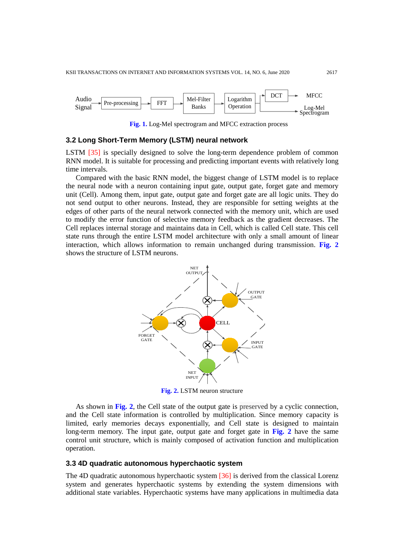

**Fig. 1.** Log-Mel spectrogram and MFCC extraction process

## **3.2 Long Short-Term Memory (LSTM) neural network**

LSTM [35] is specially designed to solve the long-term dependence problem of common RNN model. It is suitable for processing and predicting important events with relatively long time intervals.

Compared with the basic RNN model, the biggest change of LSTM model is to replace the neural node with a neuron containing input gate, output gate, forget gate and memory unit (Cell). Among them, input gate, output gate and forget gate are all logic units. They do not send output to other neurons. Instead, they are responsible for setting weights at the edges of other parts of the neural network connected with the memory unit, which are used to modify the error function of selective memory feedback as the gradient decreases. The Cell replaces internal storage and maintains data in Cell, which is called Cell state. This cell state runs through the entire LSTM model architecture with only a small amount of linear interaction, which allows information to remain unchanged during transmission. **Fig. 2** shows the structure of LSTM neurons.



**Fig. 2.** LSTM neuron structure

As shown in **Fig. 2**, the Cell state of the output gate is preserved by a cyclic connection, and the Cell state information is controlled by multiplication. Since memory capacity is limited, early memories decays exponentially, and Cell state is designed to maintain long-term memory. The input gate, output gate and forget gate in **Fig. 2** have the same control unit structure, which is mainly composed of activation function and multiplication operation.

## **3.3 4D quadratic autonomous hyperchaotic system**

The 4D quadratic autonomous hyperchaotic system [36] is derived from the classical Lorenz system and generates hyperchaotic systems by extending the system dimensions with additional state variables. Hyperchaotic systems have many applications in multimedia data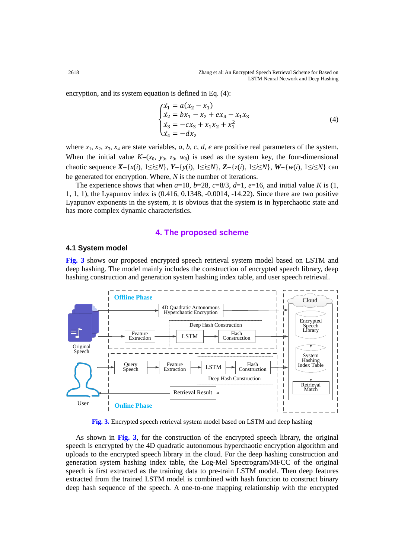encryption, and its system equation is defined in Eq. (4):

$$
\begin{cases}\n\dot{x}_1 = a(x_2 - x_1) \\
\dot{x}_2 = bx_1 - x_2 + ex_4 - x_1x_3 \\
\dot{x}_3 = -cx_3 + x_1x_2 + x_1^2 \\
\dot{x}_4 = -dx_2\n\end{cases}
$$
\n(4)

where  $x_1, x_2, x_3, x_4$  are state variables, *a*, *b*, *c*, *d*, *e* are positive real parameters of the system. When the initial value  $K=(x_0, y_0, z_0, w_0)$  is used as the system key, the four-dimensional chaotic sequence  $X = \{x(i), 1 \le i \le N\}$ ,  $Y = \{y(i), 1 \le i \le N\}$ ,  $Z = \{z(i), 1 \le i \le N\}$ ,  $W = \{w(i), 1 \le i \le N\}$  can be generated for encryption. Where, *N* is the number of iterations.

The experience shows that when  $a=10$ ,  $b=28$ ,  $c=8/3$ ,  $d=1$ ,  $e=16$ , and initial value *K* is (1, 1, 1, 1), the Lyapunov index is (0.416, 0.1348, -0.0014, -14.22). Since there are two positive Lyapunov exponents in the system, it is obvious that the system is in hyperchaotic state and has more complex dynamic characteristics.

## **4. The proposed scheme**

#### **4.1 System model**

**Fig. 3** shows our proposed encrypted speech retrieval system model based on LSTM and deep hashing. The model mainly includes the construction of encrypted speech library, deep hashing construction and generation system hashing index table, and user speech retrieval.



**Fig. 3.** Encrypted speech retrieval system model based on LSTM and deep hashing

As shown in **Fig. 3**, for the construction of the encrypted speech library, the original speech is encrypted by the 4D quadratic autonomous hyperchaotic encryption algorithm and uploads to the encrypted speech library in the cloud. For the deep hashing construction and generation system hashing index table, the Log-Mel Spectrogram/MFCC of the original speech is first extracted as the training data to pre-train LSTM model. Then deep features extracted from the trained LSTM model is combined with hash function to construct binary deep hash sequence of the speech. A one-to-one mapping relationship with the encrypted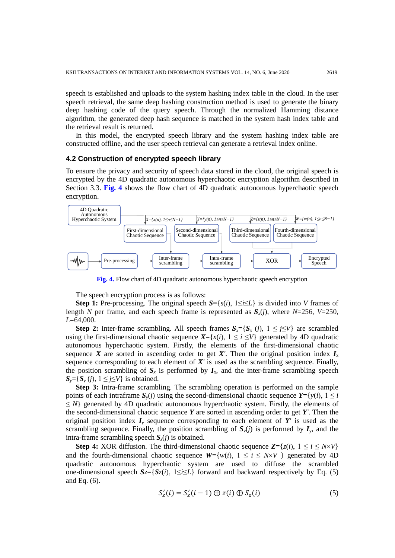speech is established and uploads to the system hashing index table in the cloud. In the user speech retrieval, the same deep hashing construction method is used to generate the binary deep hashing code of the query speech. Through the normalized Hamming distance algorithm, the generated deep hash sequence is matched in the system hash index table and the retrieval result is returned.

In this model, the encrypted speech library and the system hashing index table are constructed offline, and the user speech retrieval can generate a retrieval index online.

## **4.2 Construction of encrypted speech library**

To ensure the privacy and security of speech data stored in the cloud, the original speech is encrypted by the 4D quadratic autonomous hyperchaotic encryption algorithm described in Section 3.3. **Fig. 4** shows the flow chart of 4D quadratic autonomous hyperchaotic speech encryption.



**Fig. 4.** Flow chart of 4D quadratic autonomous hyperchaotic speech encryption

The speech encryption process is as follows:

**Step 1:** Pre-processing. The original speech  $S = \{s(i), 1 \le i \le L\}$  is divided into *V* frames of length *N* per frame, and each speech frame is represented as  $S(x)$ , where  $N=256$ ,  $V=250$ , *L*=64,000.

**Step 2:** Inter-frame scrambling. All speech frames  $S_x = \{S_x(i), 1 \leq j \leq V\}$  are scrambled using the first-dimensional chaotic sequence  $X = \{x(i), 1 \le i \le V\}$  generated by 4D quadratic autonomous hyperchaotic system. Firstly, the elements of the first-dimensional chaotic sequence *X* are sorted in ascending order to get *X'*. Then the original position index  $I_x$ sequence corresponding to each element of  $X'$  is used as the scrambling sequence. Finally, the position scrambling of  $S<sub>x</sub>$  is performed by  $I<sub>x</sub>$ , and the inter-frame scrambling speech  $S_v = \{S_v(i), 1 \leq j \leq V\}$  is obtained.

**Step 3:** Intra-frame scrambling. The scrambling operation is performed on the sample points of each intraframe  $S_y(i)$  using the second-dimensional chaotic sequence  $Y=\{y(i), 1 \leq i$  $\leq N$ } generated by 4D quadratic autonomous hyperchaotic system. Firstly, the elements of the second-dimensional chaotic sequence *Y* are sorted in ascending order to get *Y'*. Then the original position index  $I<sub>y</sub>$  sequence corresponding to each element of  $Y'$  is used as the scrambling sequence. Finally, the position scrambling of  $S_v(j)$  is performed by  $I_v$ , and the intra-frame scrambling speech  $S_z(j)$  is obtained.

**Step 4:** XOR diffusion. The third-dimensional chaotic sequence  $\mathbb{Z}=\{z(i), 1 \leq i \leq N \times V\}$ and the fourth-dimensional chaotic sequence  $W = \{w(i), 1 \le i \le N \times V\}$  generated by 4D quadratic autonomous hyperchaotic system are used to diffuse the scrambled one-dimensional speech  $S_z = \{S_z(i), 1 \le i \le L\}$  forward and backward respectively by Eq. (5) and Eq. (6).

$$
S'_z(i) = S'_z(i-1) \oplus z(i) \oplus S_z(i) \tag{5}
$$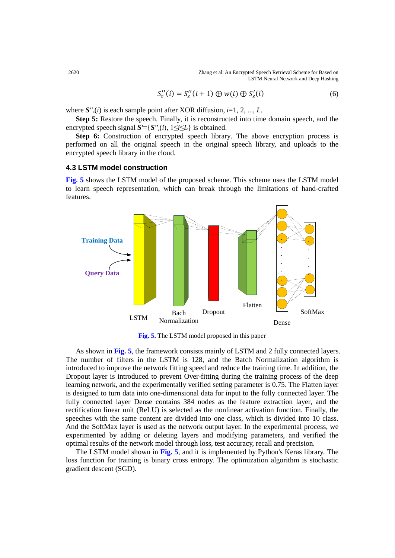2620 Zhang et al: An Encrypted Speech Retrieval Scheme for Based on LSTM Neural Network and Deep Hashing

$$
S_z''(i) = S_z''(i+1) \oplus w(i) \oplus S_z'(i)
$$
 (6)

where  $S''_z(i)$  is each sample point after XOR diffusion,  $i=1, 2, ..., L$ .

**Step 5:** Restore the speech. Finally, it is reconstructed into time domain speech, and the encrypted speech signal  $S' = \{S''(i), 1 \le i \le L\}$  is obtained.

**Step 6:** Construction of encrypted speech library. The above encryption process is performed on all the original speech in the original speech library, and uploads to the encrypted speech library in the cloud.

## **4.3 LSTM model construction**

**Fig. 5** shows the LSTM model of the proposed scheme. This scheme uses the LSTM model to learn speech representation, which can break through the limitations of hand-crafted features.



**Fig. 5.** The LSTM model proposed in this paper

As shown in **Fig. 5**, the framework consists mainly of LSTM and 2 fully connected layers. The number of filters in the LSTM is 128, and the Batch Normalization algorithm is introduced to improve the network fitting speed and reduce the training time. In addition, the Dropout layer is introduced to prevent Over-fitting during the training process of the deep learning network, and the experimentally verified setting parameter is 0.75. The Flatten layer is designed to turn data into one-dimensional data for input to the fully connected layer. The fully connected layer Dense contains 384 nodes as the feature extraction layer, and the rectification linear unit (ReLU) is selected as the nonlinear activation function. Finally, the speeches with the same content are divided into one class, which is divided into 10 class. And the SoftMax layer is used as the network output layer. In the experimental process, we experimented by adding or deleting layers and modifying parameters, and verified the optimal results of the network model through loss, test accuracy, recall and precision.

The LSTM model shown in **Fig. 5**, and it is implemented by Python's Keras library. The loss function for training is binary cross entropy. The optimization algorithm is stochastic gradient descent (SGD).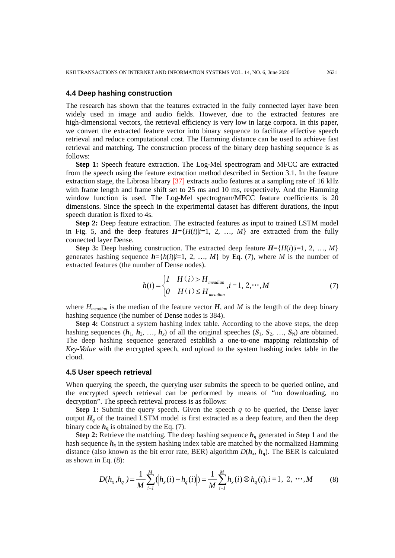#### **4.4 Deep hashing construction**

The research has shown that the features extracted in the fully connected layer have been widely used in image and audio fields. However, due to the extracted features are high-dimensional vectors, the retrieval efficiency is very low in large corpora. In this paper, we convert the extracted feature vector into binary sequence to facilitate effective speech retrieval and reduce computational cost. The Hamming distance can be used to achieve fast retrieval and matching. The construction process of the binary deep hashing sequence is as follows:

**Step 1:** Speech feature extraction. The Log-Mel spectrogram and MFCC are extracted from the speech using the feature extraction method described in Section 3.1. In the feature extraction stage, the Librosa library [37] extracts audio features at a sampling rate of 16 kHz with frame length and frame shift set to 25 ms and 10 ms, respectively. And the Hamming window function is used. The Log-Mel spectrogram/MFCC feature coefficients is 20 dimensions. Since the speech in the experimental dataset has different durations, the input speech duration is fixed to 4s.

**Step 2:** Deep feature extraction. The extracted features as input to trained LSTM model in Fig. 5, and the deep features  $H=\{H(i)|i=1, 2, ..., M\}$  are extracted from the fully connected layer Dense.

**Step 3:** Deep hashing construction. The extracted deep feature  $H=\{H(i)|i=1, 2, ..., M\}$ generates hashing sequence  $\mathbf{h} = \{h(i)|i=1, 2, ..., M\}$  by Eq. (7), where *M* is the number of extracted features (the number of Dense nodes).

$$
h(i) = \begin{cases} I & H(i) > H_{median} \\ 0 & H(i) \le H_{median} \end{cases}, i = 1, 2, \cdots, M
$$
 (7)

where  $H_{\text{median}}$  is the median of the feature vector  $H$ , and  $M$  is the length of the deep binary hashing sequence (the number of Dense nodes is 384).

**Step 4:** Construct a system hashing index table. According to the above steps, the deep hashing sequences  $(h_1, h_2, ..., h_r)$  of all the original speeches  $(S_1, S_2, ..., S_N)$  are obtained. The deep hashing sequence generated establish a one-to-one mapping relationship of *Key*-*Value* with the encrypted speech, and upload to the system hashing index table in the cloud.

#### **4.5 User speech retrieval**

When querying the speech, the querying user submits the speech to be queried online, and the encrypted speech retrieval can be performed by means of "no downloading, no decryption". The speech retrieval process is as follows:

**Step 1:** Submit the query speech. Given the speech *q* to be queried, the Dense layer output  $H_q$  of the trained LSTM model is first extracted as a deep feature, and then the deep binary code  $h_{\alpha}$  is obtained by the Eq. (7).

**Step 2:** Retrieve the matching. The deep hashing sequence *h***<sup>q</sup>** generated in S**tep 1** and the hash sequence  $h_x$  in the system hashing index table are matched by the normalized Hamming distance (also known as the bit error rate, BER) algorithm  $D(h_x, h_y)$ . The BER is calculated as shown in Eq. (8):

$$
D(h_x, h_q) = \frac{1}{M} \sum_{i=1}^{M} (|h_x(i) - h_q(i)|) = \frac{1}{M} \sum_{i=1}^{M} h_x(i) \otimes h_q(i), i = 1, 2, \cdots, M
$$
 (8)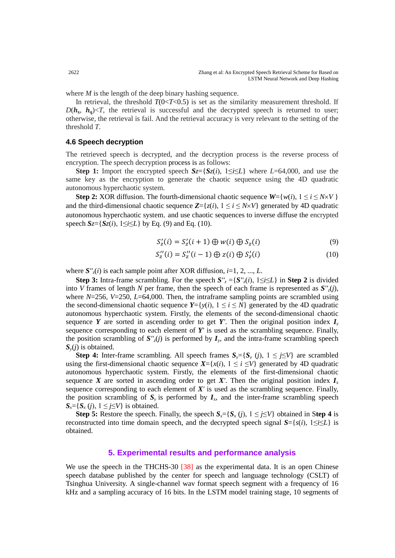where *M* is the length of the deep binary hashing sequence.

In retrieval, the threshold  $T(0 < T < 0.5)$  is set as the similarity measurement threshold. If  $D(h_x, h_0) \le T$ , the retrieval is successful and the decrypted speech is returned to user; otherwise, the retrieval is fail. And the retrieval accuracy is very relevant to the setting of the threshold *T*.

## **4.6 Speech decryption**

The retrieved speech is decrypted, and the decryption process is the reverse process of encryption. The speech decryption process is as follows:

**Step 1:** Import the encrypted speech  $S_z = \{S_z(i), 1 \le i \le L\}$  where  $L = 64,000$ , and use the same key as the encryption to generate the chaotic sequence using the 4D quadratic autonomous hyperchaotic system.

**Step 2:** XOR diffusion. The fourth-dimensional chaotic sequence  $W = \{w(i), 1 \le i \le N \times V\}$ and the third-dimensional chaotic sequence  $\mathbb{Z} = \{z(i), 1 \le i \le N \times V\}$  generated by 4D quadratic autonomous hyperchaotic system, and use chaotic sequences to inverse diffuse the encrypted speech  $S_z = \{S_z(i), 1 \le i \le L\}$  by Eq. (9) and Eq. (10).

$$
S'_z(i) = S'_z(i+1) \oplus w(i) \oplus S_z(i)
$$
\n(9)

$$
S_z''(i) = S_z''(i-1) \oplus z(i) \oplus S_z'(i)
$$
 (10)

where  $S''_{z}(i)$  is each sample point after XOR diffusion,  $i=1, 2, ..., L$ .

**Step 3:** Intra-frame scrambling. For the speech  $S''_z = \{S''_z(i), 1 \le i \le L\}$  in **Step 2** is divided into *V* frames of length *N* per frame, then the speech of each frame is represented as  $S'_{z}(i)$ , where *N*=256, *V*=250, *L*=64,000. Then, the intraframe sampling points are scrambled using the second-dimensional chaotic sequence  $Y = \{y(i), 1 \le i \le N\}$  generated by the 4D quadratic autonomous hyperchaotic system. Firstly, the elements of the second-dimensional chaotic sequence *Y* are sorted in ascending order to get *Y*<sup>*'*</sup>. Then the original position index  $I$ <sup>*y*</sup> sequence corresponding to each element of *Y'* is used as the scrambling sequence. Finally, the position scrambling of  $S''_{z}(j)$  is performed by  $I_{y}$ , and the intra-frame scrambling speech *Sy*(*j*) is obtained.

**Step 4:** Inter-frame scrambling. All speech frames  $S_y = \{S_y(i), 1 \leq j \leq V\}$  are scrambled using the first-dimensional chaotic sequence  $X = \{x(i), 1 \le i \le V\}$  generated by 4D quadratic autonomous hyperchaotic system. Firstly, the elements of the first-dimensional chaotic sequence *X* are sorted in ascending order to get *X'*. Then the original position index  $I_x$ sequence corresponding to each element of  $X'$  is used as the scrambling sequence. Finally, the position scrambling of  $S_y$  is performed by  $I_x$ , and the inter-frame scrambling speech  $S_{\rm x} = \{S_{\rm x}(i), 1 \leq j \leq V\}$  is obtained.

**Step 5:** Restore the speech. Finally, the speech  $S<sub>i</sub> = \{S<sub>x</sub>(i), 1 \leq j \leq V\}$  obtained in Step 4 is reconstructed into time domain speech, and the decrypted speech signal  $S = \{s(i), 1 \le i \le L\}$  is obtained.

# **5. Experimental results and performance analysis**

We use the speech in the THCHS-30 [38] as the experimental data. It is an open Chinese speech database published by the center for speech and language technology (CSLT) of Tsinghua University. A single-channel wav format speech segment with a frequency of 16 kHz and a sampling accuracy of 16 bits. In the LSTM model training stage, 10 segments of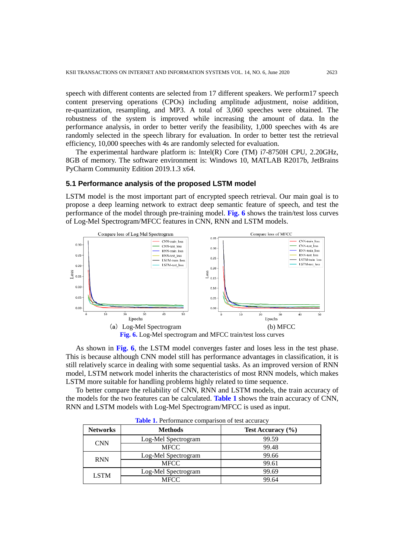speech with different contents are selected from 17 different speakers. We perform17 speech content preserving operations (CPOs) including amplitude adjustment, noise addition, re-quantization, resampling, and MP3. A total of 3,060 speeches were obtained. The robustness of the system is improved while increasing the amount of data. In the performance analysis, in order to better verify the feasibility, 1,000 speeches with 4s are randomly selected in the speech library for evaluation. In order to better test the retrieval efficiency, 10,000 speeches with 4s are randomly selected for evaluation.

The experimental hardware platform is: Intel(R) Core (TM) i7-8750H CPU, 2.20GHz, 8GB of memory. The software environment is: Windows 10, MATLAB R2017b, JetBrains PyCharm Community Edition 2019.1.3 x64.

#### **5.1 Performance analysis of the proposed LSTM model**

LSTM model is the most important part of encrypted speech retrieval. Our main goal is to propose a deep learning network to extract deep semantic feature of speech, and test the performance of the model through pre-training model. **Fig. 6** shows the train/test loss curves of Log-Mel Spectrogram/MFCC features in CNN, RNN and LSTM models.



As shown in **Fig. 6**, the LSTM model converges faster and loses less in the test phase. This is because although CNN model still has performance advantages in classification, it is still relatively scarce in dealing with some sequential tasks. As an improved version of RNN model, LSTM network model inherits the characteristics of most RNN models, which makes LSTM more suitable for handling problems highly related to time sequence.

To better compare the reliability of CNN, RNN and LSTM models, the train accuracy of the models for the two features can be calculated. **Table 1** shows the train accuracy of CNN, RNN and LSTM models with Log-Mel Spectrogram/MFCC is used as input.

| <b>Networks</b> | <b>Methods</b>      | Test Accuracy (%) |  |
|-----------------|---------------------|-------------------|--|
| <b>CNN</b>      | Log-Mel Spectrogram | 99.59             |  |
|                 | <b>MFCC</b>         | 99.48             |  |
| <b>RNN</b>      | Log-Mel Spectrogram | 99.66             |  |
|                 | <b>MFCC</b>         | 99.61             |  |
| <b>LSTM</b>     | Log-Mel Spectrogram | 99.69             |  |
|                 | <b>MFCC</b>         | 99.64             |  |

**Table 1.** Performance comparison of test accuracy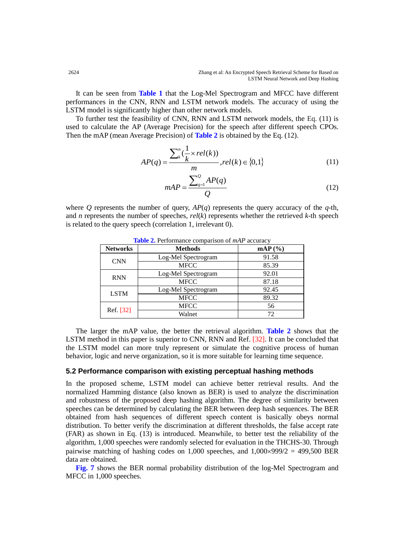It can be seen from **Table 1** that the Log-Mel Spectrogram and MFCC have different performances in the CNN, RNN and LSTM network models. The accuracy of using the LSTM model is significantly higher than other network models.

To further test the feasibility of CNN, RNN and LSTM network models, the Eq. (11) is used to calculate the AP (Average Precision) for the speech after different speech CPOs. Then the mAP (mean Average Precision) of **Table 2** is obtained by the Eq. (12).

$$
AP(q) = \frac{\sum_{k}^{n} \left(\frac{1}{k} \times rel(k)\right)}{m}, rel(k) \in \{0, 1\}
$$
\n<sup>(11)</sup>

$$
mAP = \frac{\sum_{q=1}^{Q} AP(q)}{Q} \tag{12}
$$

where *Q* represents the number of query,  $AP(q)$  represents the query accuracy of the *q*-th, and *n* represents the number of speeches, *rel*(*k*) represents whether the retrieved *k*-th speech is related to the query speech (correlation 1, irrelevant 0).

| <b>Networks</b> | <b>Methods</b>      | $\mathbf{mAP}$ (%) |
|-----------------|---------------------|--------------------|
| <b>CNN</b>      | Log-Mel Spectrogram | 91.58              |
|                 | <b>MFCC</b>         | 85.39              |
| <b>RNN</b>      | Log-Mel Spectrogram | 92.01              |
|                 | <b>MFCC</b>         | 87.18              |
| <b>LSTM</b>     | Log-Mel Spectrogram | 92.45              |
|                 | <b>MFCC</b>         | 89.32              |
| Ref. [32]       | <b>MFCC</b>         | 56                 |
|                 | Walnet              | 72                 |

**Table 2.** Performance comparison of *mAP* accuracy

The larger the mAP value, the better the retrieval algorithm. **Table 2** shows that the LSTM method in this paper is superior to CNN, RNN and Ref. [32]. It can be concluded that the LSTM model can more truly represent or simulate the cognitive process of human behavior, logic and nerve organization, so it is more suitable for learning time sequence.

#### **5.2 Performance comparison with existing perceptual hashing methods**

In the proposed scheme, LSTM model can achieve better retrieval results. And the normalized Hamming distance (also known as BER) is used to analyze the discrimination and robustness of the proposed deep hashing algorithm. The degree of similarity between speeches can be determined by calculating the BER between deep hash sequences. The BER obtained from hash sequences of different speech content is basically obeys normal distribution. To better verify the discrimination at different thresholds, the false accept rate (FAR) as shown in Eq. (13) is introduced. Meanwhile, to better test the reliability of the algorithm, 1,000 speeches were randomly selected for evaluation in the THCHS-30. Through pairwise matching of hashing codes on 1,000 speeches, and  $1,000 \times 999/2 = 499,500$  BER data are obtained.

**Fig. 7** shows the BER normal probability distribution of the log-Mel Spectrogram and MFCC in 1,000 speeches.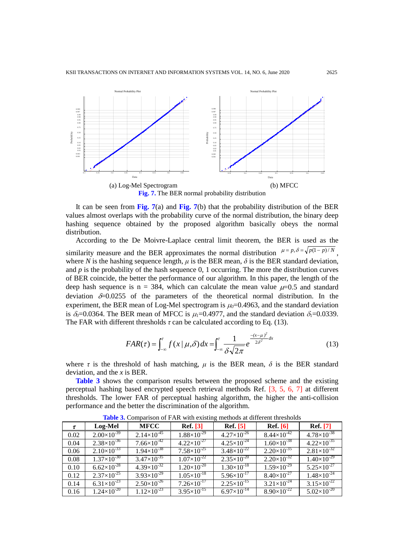

It can be seen from **Fig. 7**(a) and **Fig. 7**(b) that the probability distribution of the BER values almost overlaps with the probability curve of the normal distribution, the binary deep hashing sequence obtained by the proposed algorithm basically obeys the normal distribution.

According to the De Moivre-Laplace central limit theorem, the BER is used as the similarity measure and the BER approximates the normal distribution  $\mu = p, \delta = \sqrt{p(1-p)/N}$ where *N* is the hashing sequence length,  $\mu$  is the BER mean,  $\delta$  is the BER standard deviation, and  $p$  is the probability of the hash sequence  $0, 1$  occurring. The more the distribution curves of BER coincide, the better the performance of our algorithm. In this paper, the length of the deep hash sequence is n = 384, which can calculate the mean value  $\mu$ =0.5 and standard deviation  $\delta$ =0.0255 of the parameters of the theoretical normal distribution. In the experiment, the BER mean of Log-Mel spectrogram is  $\mu_0$ =0.4963, and the standard deviation is  $\delta_0$ =0.0364. The BER mean of MFCC is  $\mu_1$ =0.4977, and the standard deviation  $\delta_1$ =0.0339. The FAR with different thresholds  $\tau$  can be calculated according to Eq. (13).

$$
FAR(\tau) = \int_{-\infty}^{\tau} f(x/\mu, \delta) dx = \int_{-\infty}^{\tau} \frac{1}{\delta\sqrt{2\pi}} e^{-\frac{-(x-\mu)^2}{2\delta^2}dx}
$$
(13)

where  $\tau$  is the threshold of hash matching,  $\mu$  is the BER mean,  $\delta$  is the BER standard deviation, and the *x* is BER.

**Table 3** shows the comparison results between the proposed scheme and the existing perceptual hashing based encrypted speech retrieval methods Ref. [3, 5, 6, 7] at different thresholds. The lower FAR of perceptual hashing algorithm, the higher the anti-collision performance and the better the discrimination of the algorithm.

| τ    | Log-Mel              | <b>MFCC</b>          | <b>Ref.</b> [3]      | <b>Ref.</b> [5]      | <b>Ref.</b> [6]      | <b>Ref.</b> [7]        |
|------|----------------------|----------------------|----------------------|----------------------|----------------------|------------------------|
| 0.02 | $2.00\times10^{-39}$ | $2.14\times10^{-45}$ | $1.88\times10^{-29}$ | $4.27\times10^{-26}$ | $8.44\times10^{-42}$ | $4.78\times10^{-38}$   |
| 0.04 | $2.38\times10^{-36}$ | $7.66\times10^{-42}$ | $4.22\times10^{-27}$ | $4.25\times10^{-24}$ | $1.60\times10^{-38}$ | $4.22\times10^{-35}$   |
| 0.06 | $2.10\times10^{-33}$ | $1.94\times10^{-38}$ | $7.58\times10^{-25}$ | $3.48\times10^{-22}$ | $2.20\times10^{-35}$ | $2.81\times10^{-32}$   |
| 0.08 | $1.37\times10^{-30}$ | $3.47\times10^{-35}$ | $1.07\times10^{-22}$ | $2.35\times10^{-20}$ | $2.20\times10^{-32}$ | $1.40\times10^{-29}$   |
| 0.10 | $6.62\times10^{-28}$ | $4.39\times10^{-32}$ | $1.20\times10^{-20}$ | $1.30\times10^{-18}$ | $1.59\times10^{-29}$ | $5.25 \times 10^{-27}$ |
| 0.12 | $2.37\times10^{-25}$ | $3.93\times10^{-29}$ | $1.05\times10^{-18}$ | $5.96\times10^{-17}$ | $8.40\times10^{-27}$ | $1.48\times10^{-24}$   |
| 0.14 | $6.31\times10^{-23}$ | $2.50\times10^{-26}$ | $7.26\times10^{-17}$ | $2.25\times10^{-15}$ | $3.21\times10^{-24}$ | $3.15\times10^{-22}$   |
| 0.16 | $1.24\times10^{-20}$ | $1.12\times10^{-23}$ | $3.95\times10^{-15}$ | $6.97\times10^{-14}$ | $8.90\times10^{-22}$ | $5.02\times10^{-20}$   |

**Table 3.** Comparison of FAR with existing methods at different thresholds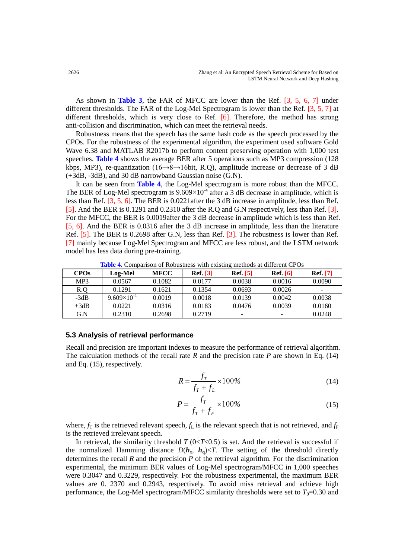As shown in **Table 3**, the FAR of MFCC are lower than the Ref. [3, 5, 6, 7] under different thresholds. The FAR of the Log-Mel Spectrogram is lower than the Ref. [3, 5, 7] at different thresholds, which is very close to Ref. [6]. Therefore, the method has strong anti-collision and discrimination, which can meet the retrieval needs.

Robustness means that the speech has the same hash code as the speech processed by the CPOs. For the robustness of the experimental algorithm, the experiment used software Gold Wave 6.38 and MATLAB R2017b to perform content preserving operation with 1,000 test speeches. **Table 4** shows the average BER after 5 operations such as MP3 compression (128 kbps, MP3), re-quantization (16→8→16bit, R.Q), amplitude increase or decrease of 3 dB (+3dB, -3dB), and 30 dB narrowband Gaussian noise (G.N).

It can be seen from **Table 4**, the Log-Mel spectrogram is more robust than the MFCC. The BER of Log-Mel spectrogram is  $9.609 \times 10^{-4}$  after a 3 dB decrease in amplitude, which is less than Ref. [3, 5, 6]. The BER is 0.0221after the 3 dB increase in amplitude, less than Ref. [5]. And the BER is 0.1291 and 0.2310 after the R.Q and G.N respectively, less than Ref. [3]. For the MFCC, the BER is 0.0019after the 3 dB decrease in amplitude which is less than Ref. [5, 6]. And the BER is 0.0316 after the 3 dB increase in amplitude, less than the literature Ref. [5]. The BER is 0.2698 after G.N, less than Ref. [3]. The robustness is lower than Ref. [7] mainly because Log-Mel Spectrogram and MFCC are less robust, and the LSTM network model has less data during pre-training.

| <b>CPOs</b> | Log-Mel              | <b>MFCC</b> | <b>Ref.</b> [3] | <b>Ref.</b> [5] | <b>Ref.</b> [6] | <b>Ref.</b> [7]          |
|-------------|----------------------|-------------|-----------------|-----------------|-----------------|--------------------------|
| MP3         | 0.0567               | 0.1082      | 0.0177          | 0.0038          | 0.0016          | 0.0090                   |
| R.O         | 0.1291               | 0.1621      | 0.1354          | 0.0693          | 0.0026          | $\overline{\phantom{0}}$ |
| $-3dB$      | $9.609\times10^{-4}$ | 0.0019      | 0.0018          | 0.0139          | 0.0042          | 0.0038                   |
| $+3dB$      | 0.0221               | 0.0316      | 0.0183          | 0.0476          | 0.0039          | 0.0160                   |
| G.N         | 0.2310               | 0.2698      | 0.2719          | -               | -               | 0.0248                   |

**Table 4.** Comparison of Robustness with existing methods at different CPOs

#### **5.3 Analysis of retrieval performance**

Recall and precision are important indexes to measure the performance of retrieval algorithm. The calculation methods of the recall rate *R* and the precision rate *P* are shown in Eq. (14) and Eq. (15), respectively.

$$
R = \frac{f_T}{f_T + f_L} \times 100\%
$$
\n(14)

$$
P = \frac{f_T}{f_T + f_F} \times 100\%
$$
 (15)

where,  $f_T$  is the retrieved relevant speech,  $f_L$  is the relevant speech that is not retrieved, and  $f_F$ is the retrieved irrelevant speech.

In retrieval, the similarity threshold  $T(0 < T < 0.5)$  is set. And the retrieval is successful if the normalized Hamming distance  $D(h_x, h_y) \leq T$ . The setting of the threshold directly determines the recall *R* and the precision *P* of the retrieval algorithm. For the discrimination experimental, the minimum BER values of Log-Mel spectrogram/MFCC in 1,000 speeches were 0.3047 and 0.3229, respectively. For the robustness experimental, the maximum BER values are 0. 2370 and 0.2943, respectively. To avoid miss retrieval and achieve high performance, the Log-Mel spectrogram/MFCC similarity thresholds were set to  $T_0=0.30$  and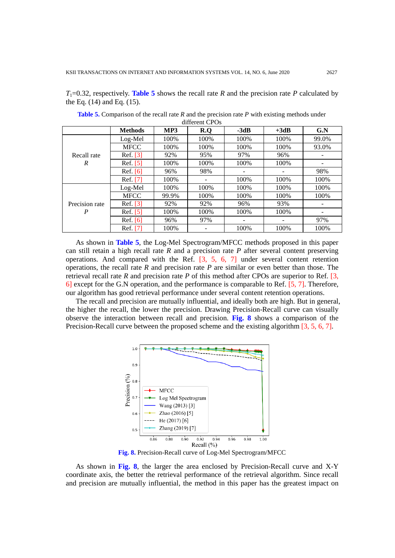$T_1=0.32$ , respectively. **Table 5** shows the recall rate *R* and the precision rate *P* calculated by the Eq. (14) and Eq. (15).

|                | <b>Methods</b> | MP3   | R.Q   | $-3dB$ | $+3dB$ | G.N   |
|----------------|----------------|-------|-------|--------|--------|-------|
|                | Log-Mel        | 100%  | 100\% | 100%   | 100%   | 99.0% |
|                | <b>MFCC</b>    | 100%  | 100%  | 100%   | 100%   | 93.0% |
| Recall rate    | Ref. [3]       | 92%   | 95%   | 97%    | 96%    |       |
| R              | Ref. [5]       | 100%  | 100%  | 100%   | 100%   |       |
|                | Ref. $[6]$     | 96%   | 98%   | -      |        | 98%   |
|                | Ref. [7]       | 100%  | -     | 100%   | 100%   | 100%  |
|                | Log-Mel        | 100%  | 100%  | 100%   | 100%   | 100%  |
|                | <b>MFCC</b>    | 99.9% | 100%  | 100%   | 100%   | 100%  |
| Precision rate | Ref. $[3]$     | 92%   | 92%   | 96%    | 93%    |       |
| P              | Ref. $[5]$     | 100%  | 100%  | 100%   | 100%   |       |
|                | Ref. $[6]$     | 96%   | 97%   | -      |        | 97%   |
|                | Ref. [7]       | 100%  |       | 100%   | 100%   | 100%  |

**Table 5.** Comparison of the recall rate *R* and the precision rate *P* with existing methods under different CPOs

As shown in **Table 5**, the Log-Mel Spectrogram/MFCC methods proposed in this paper can still retain a high recall rate *R* and a precision rate *P* after several content preserving operations. And compared with the Ref. [3, 5, 6, 7] under several content retention operations, the recall rate *R* and precision rate *P* are similar or even better than those. The retrieval recall rate *R* and precision rate *P* of this method after CPOs are superior to Ref. [3, 6] except for the G.N operation, and the performance is comparable to Ref. [5, 7]. Therefore, our algorithm has good retrieval performance under several content retention operations.

The recall and precision are mutually influential, and ideally both are high. But in general, the higher the recall, the lower the precision. Drawing Precision-Recall curve can visually observe the interaction between recall and precision. **Fig. 8** shows a comparison of the Precision-Recall curve between the proposed scheme and the existing algorithm [3, 5, 6, 7].



**Fig. 8.** Precision-Recall curve of Log-Mel Spectrogram/MFCC

As shown in **Fig. 8**, the larger the area enclosed by Precision-Recall curve and X-Y coordinate axis, the better the retrieval performance of the retrieval algorithm. Since recall and precision are mutually influential, the method in this paper has the greatest impact on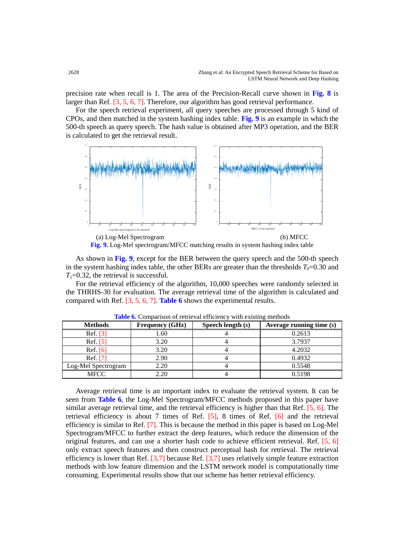precision rate when recall is 1. The area of the Precision-Recall curve shown in **Fig. 8** is larger than Ref. [3, 5, 6, 7]. Therefore, our algorithm has good retrieval performance.

For the speech retrieval experiment, all query speeches are processed through 5 kind of CPOs, and then matched in the system hashing index table. **Fig. 9** is an example in which the 500-th speech as query speech. The hash value is obtained after MP3 operation, and the BER is calculated to get the retrieval result.



As shown in **Fig. 9**, except for the BER between the query speech and the 500-th speech in the system hashing index table, the other BERs are greater than the thresholds  $T_0=0.30$  and  $T_1=0.32$ , the retrieval is successful.

For the retrieval efficiency of the algorithm, 10,000 speeches were randomly selected in the THRHS-30 for evaluation. The average retrieval time of the algorithm is calculated and compared with Ref. [3, 5, 6, 7]. **Table 6** shows the experimental results.

| <b>Methods</b>      | <b>Frequency (GHz)</b> | Speech length $(s)$ | Average running time $(s)$ |
|---------------------|------------------------|---------------------|----------------------------|
| Ref. [3]            | 1.60                   |                     | 0.2613                     |
| Ref. $[5]$          | 3.20                   |                     | 3.7937                     |
| Ref. $[6]$          | 3.20                   |                     | 4.2032                     |
| Ref. [7]            | 2.90                   |                     | 0.4932                     |
| Log-Mel Spectrogram | 2.20                   |                     | 0.5548                     |
| <b>MFCC</b>         | 2.20                   |                     | 0.5198                     |

**Table 6.** Comparison of retrieval efficiency with existing methods

Average retrieval time is an important index to evaluate the retrieval system. It can be seen from **Table 6**, the Log-Mel Spectrogram/MFCC methods proposed in this paper have similar average retrieval time, and the retrieval efficiency is higher than that Ref. [5, 6]. The retrieval efficiency is about 7 times of Ref. [5], 8 times of Ref. [6] and the retrieval efficiency is similar to Ref. [7]. This is because the method in this paper is based on Log-Mel Spectrogram/MFCC to further extract the deep features, which reduce the dimension of the original features, and can use a shorter hash code to achieve efficient retrieval. Ref. [5, 6] only extract speech features and then construct perceptual hash for retrieval. The retrieval efficiency is lower than Ref. [3,7] because Ref. [3,7] uses relatively simple feature extraction methods with low feature dimension and the LSTM network model is computationally time consuming. Experimental results show that our scheme has better retrieval efficiency.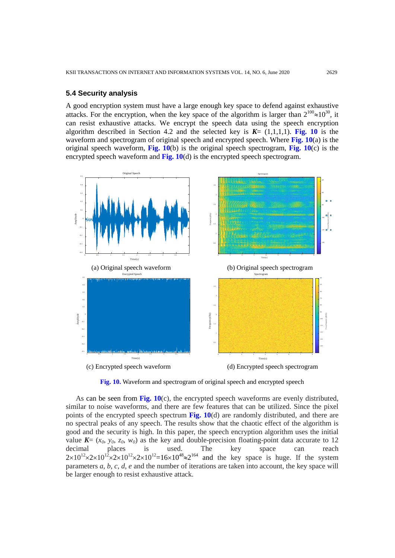### **5.4 Security analysis**

A good encryption system must have a large enough key space to defend against exhaustive attacks. For the encryption, when the key space of the algorithm is larger than  $2^{100} \approx 10^{30}$ , it can resist exhaustive attacks. We encrypt the speech data using the speech encryption algorithm described in Section 4.2 and the selected key is  $K = (1,1,1,1)$ . **Fig. 10** is the waveform and spectrogram of original speech and encrypted speech. Where **Fig. 10**(a) is the original speech waveform, **Fig. 10**(b) is the original speech spectrogram, **Fig. 10**(c) is the encrypted speech waveform and **Fig. 10**(d) is the encrypted speech spectrogram.



**Fig. 10.** Waveform and spectrogram of original speech and encrypted speech

As can be seen from **Fig. 10**(c), the encrypted speech waveforms are evenly distributed, similar to noise waveforms, and there are few features that can be utilized. Since the pixel points of the encrypted speech spectrum **Fig. 10**(d) are randomly distributed, and there are no spectral peaks of any speech. The results show that the chaotic effect of the algorithm is good and the security is high. In this paper, the speech encryption algorithm uses the initial value  $K = (x_0, y_0, z_0, w_0)$  as the key and double-precision floating-point data accurate to 12 decimal places is used. The key space can reach decimal places is used. The key space can reach  $2 \times 10^{12} \times 2 \times 10^{12} \times 2 \times 10^{12} = 16 \times 10^{48} \approx 2^{164}$  and the key space is huge. If the system parameters *a*, *b*, *c*, *d*, *e* and the number of iterations are taken into account, the key space will be larger enough to resist exhaustive attack.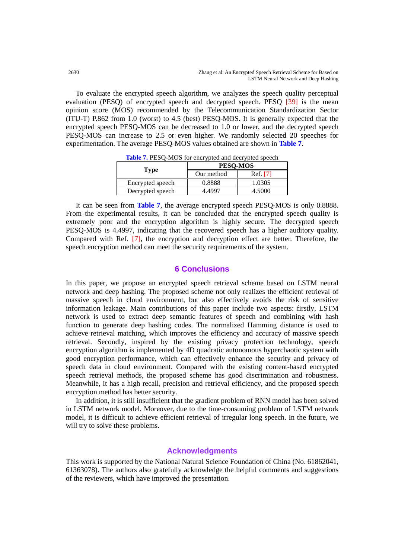To evaluate the encrypted speech algorithm, we analyzes the speech quality perceptual evaluation (PESQ) of encrypted speech and decrypted speech. PESQ [39] is the mean opinion score (MOS) recommended by the Telecommunication Standardization Sector (ITU-T) P.862 from 1.0 (worst) to 4.5 (best) PESQ-MOS. It is generally expected that the encrypted speech PESQ-MOS can be decreased to 1.0 or lower, and the decrypted speech PESQ-MOS can increase to 2.5 or even higher. We randomly selected 20 speeches for experimentation. The average PESQ-MOS values obtained are shown in **Table 7**.

|                  | <b>PESO-MOS</b> |          |  |
|------------------|-----------------|----------|--|
| Type             | Our method      | Ref. [7] |  |
| Encrypted speech | 0.8888          | 1.0305   |  |
| Decrypted speech | 4 4997          | 4.5000   |  |

**Table 7.** PESO-MOS for encrypted and decrypted speech

It can be seen from **Table 7**, the average encrypted speech PESQ-MOS is only 0.8888. From the experimental results, it can be concluded that the encrypted speech quality is extremely poor and the encryption algorithm is highly secure. The decrypted speech PESQ-MOS is 4.4997, indicating that the recovered speech has a higher auditory quality. Compared with Ref. [7], the encryption and decryption effect are better. Therefore, the speech encryption method can meet the security requirements of the system.

# **6 Conclusions**

In this paper, we propose an encrypted speech retrieval scheme based on LSTM neural network and deep hashing. The proposed scheme not only realizes the efficient retrieval of massive speech in cloud environment, but also effectively avoids the risk of sensitive information leakage. Main contributions of this paper include two aspects: firstly, LSTM network is used to extract deep semantic features of speech and combining with hash function to generate deep hashing codes. The normalized Hamming distance is used to achieve retrieval matching, which improves the efficiency and accuracy of massive speech retrieval. Secondly, inspired by the existing privacy protection technology, speech encryption algorithm is implemented by 4D quadratic autonomous hyperchaotic system with good encryption performance, which can effectively enhance the security and privacy of speech data in cloud environment. Compared with the existing content-based encrypted speech retrieval methods, the proposed scheme has good discrimination and robustness. Meanwhile, it has a high recall, precision and retrieval efficiency, and the proposed speech encryption method has better security.

In addition, it is still insufficient that the gradient problem of RNN model has been solved in LSTM network model. Moreover, due to the time-consuming problem of LSTM network model, it is difficult to achieve efficient retrieval of irregular long speech. In the future, we will try to solve these problems.

# **Acknowledgments**

This work is supported by the National Natural Science Foundation of China (No. 61862041, 61363078). The authors also gratefully acknowledge the helpful comments and suggestions of the reviewers, which have improved the presentation.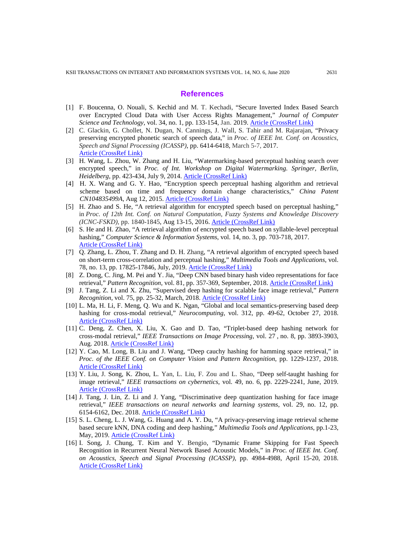#### **References**

- [1] F. Boucenna, O. Nouali, S. Kechid and M. T. Kechadi, "Secure Inverted Index Based Search over Encrypted Cloud Data with User Access Rights Management," *Journal of Computer Science and Technology*, vol. 34, no. 1, pp. 133-154, Jan. 2019. [Article \(CrossRef Link\)](https://doi.org/10.1007/s11390-019-1903-2)
- [2] C. Glackin, G. Chollet, N. Dugan, N. Cannings, J. Wall, S. Tahir and M. Rajarajan, "Privacy preserving encrypted phonetic search of speech data," in *Proc. of IEEE Int. Conf. on Acoustics, Speech and Signal Processing (ICASSP)*, pp. 6414-6418, March 5-7, 2017. [Article \(CrossRef Link\)](https://doi.org/10.1109/ICASSP.2017.7953391)
- [3] H. Wang, L. Zhou, W. Zhang and H. Liu, "Watermarking-based perceptual hashing search over encrypted speech," in *Proc. of Int. Workshop on Digital Watermarking. Springer, Berlin, Heidelberg*, pp. 423-434, July 9, 2014[. Article \(CrossRef Link\)](https://doi.org/10.1007/978-3-662-43886-2_30)
- [4] H. X. Wang and G. Y. Hao, "Encryption speech perceptual hashing algorithm and retrieval scheme based on time and frequency domain change characteristics," *China Patent CN104835499A*, Aug 12, 2015. [Article \(CrossRef Link\)](http://dbpub.cnki.net/grid2008/dbpub/detail.aspx?dbcode=SCPD&dbname=SCPD2015&filename=CN104835499A&uid=WEEvREcwSlJHSldRa1FhdXNXaEhobms3VkxmS0owQzBSaEV3WW5sdm9GWT0=$9A4hF_YAuvQ5obgVAqNKPCYcEjKensW4IQMovwHtwkF4VYPoHbKxJw!!)
- [5] H. Zhao and S. He, "A retrieval algorithm for encrypted speech based on perceptual hashing," in *Proc. of 12th Int. Conf. on Natural Computation, Fuzzy Systems and Knowledge Discovery (ICNC-FSKD),* pp. 1840-1845, Aug 13-15, 2016. [Article \(CrossRef Link\)](https://doi.org/10.1109/FSKD.2016.7603458)
- [6] S. He and H. Zhao, "A retrieval algorithm of encrypted speech based on syllable-level perceptual hashing," *Computer Science & Information Systems*, vol. 14, no. 3, pp. 703-718, 2017. [Article \(CrossRef Link\)](https://doi.org/10.2298/CSIS170112024H)
- [7] Q. Zhang, L. Zhou, T. Zhang and D. H. Zhang, "A retrieval algorithm of encrypted speech based on short-term cross-correlation and perceptual hashing," *Multimedia Tools and Applications*, vol. 78, no. 13, pp. 17825-17846, July, 2019. [Article \(CrossRef Link\)](https://doi.org/10.1007/s11042-019-7180-9)
- [8] Z. Dong, C. Jing, M. Pei and Y. Jia, "Deep CNN based binary hash video representations for face retrieval," *Pattern Recognition*, vol. 81, pp. 357-369, September, 2018. [Article \(CrossRef Link\)](https://doi.org/10.1016/j.patcog.2018.04.014)
- [9] J. Tang, Z. Li and X. Zhu, "Supervised deep hashing for scalable face image retrieval," *Pattern Recognition*, vol. 75, pp. 25-32, March, 2018. [Article \(CrossRef Link\)](https://doi.org/10.1016/j.patcog.2017.03.028)
- [10] L. Ma, H. Li, F. Meng, Q. Wu and K. Ngan, "Global and local semantics-preserving based deep hashing for cross-modal retrieval," *Neurocomputing*, vol. 312, pp. 49-62, October 27, 2018. [Article \(CrossRef Link\)](https://doi.org/10.1016/j.neucom.2018.05.052)
- [11] C. Deng, Z. Chen, X. Liu, X. Gao and D. Tao, "Triplet-based deep hashing network for cross-modal retrieval," *IEEE Transactions on Image Processing*, vol. 27 , [no.](https://ieeexplore_ieee.gg363.site/xpl/tocresult.jsp?isnumber=8347140) 8, pp. 3893-3903, Aug. 2018. [Article \(CrossRef Link\)](https://doi.org/10.1109/TIP.2018.2821921)
- [12] Y. Cao, M. Long, B. Liu and J. Wang, "Deep cauchy hashing for hamming space retrieval," in *Proc. of the IEEE Conf. on Computer Vision and Pattern Recognition*, pp. 1229-1237, 2018. [Article \(CrossRef Link\)](https://doi.org/10.1109/CVPR.2018.00134)
- [13] Y. Liu, J. Song, K. Zhou, L. Yan, L. Liu, F. Zou and L. Shao, "Deep self-taught hashing for image retrieval," *IEEE transactions on cybernetics*, vol. 49, no. 6, pp. 2229-2241, June, 2019. [Article \(CrossRef Link\)](https://doi.org/10.1109/TCYB.2018.2822781)
- [14] J. Tang, J. Lin, Z. Li and J. Yang, "Discriminative deep quantization hashing for face image retrieval," *IEEE transactions on neural networks and learning systems*, vol. 29, no. 12, pp. 6154-6162, Dec. 2018. [Article \(CrossRef Link\)](https://doi.org/10.1109/TNNLS.2018.2816743)
- [15] S. L. Cheng, L. J. Wang, G. Huang and A. Y. Du, "A privacy-preserving image retrieval scheme based secure kNN, DNA coding and deep hashing," *Multimedia Tools and Applications*, pp.1-23, May, 2019. [Article \(CrossRef Link\)](https://doi.org/10.1007/s11042-019-07753-4)
- [16] I. Song, J. Chung, T. Kim and Y. Bengio, "Dynamic Frame Skipping for Fast Speech Recognition in Recurrent Neural Network Based Acoustic Models," in *Proc. of IEEE Int. Conf. on Acoustics, Speech and Signal Processing (ICASSP)*, pp. 4984-4988, April 15-20, 2018. [Article \(CrossRef Link\)](https://doi.org/10.1109/ICASSP.2018.8462615)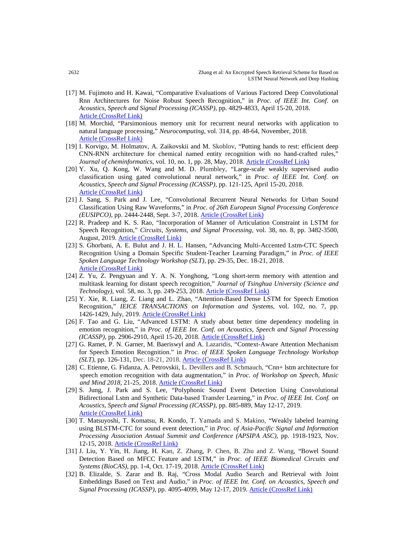- [17] M. Fujimoto and H. Kawai, "Comparative Evaluations of Various Factored Deep Convolutional Rnn Architectures for Noise Robust Speech Recognition," in *Proc. of IEEE Int. Conf. on Acoustics, Speech and Signal Processing (ICASSP)*, pp. 4829-4833, April 15-20, 2018. [Article \(CrossRef Link\)](https://doi.org/10.1109/ICASSP.2018.8462596)
- [18] M. Morchid, "Parsimonious memory unit for recurrent neural networks with application to natural language processing," *Neurocomputing*, vol. 314, pp. 48-64, November, 2018. [Article \(CrossRef Link\)](https://doi.org/10.1016/j.neucom.2018.05.081)
- [19] I. Korvigo, M. Holmatov, A. Zaikovskii and M. Skoblov, "Putting hands to rest: efficient deep CNN-RNN architecture for chemical named entity recognition with no hand-crafted rules," Journal of cheminformatics, vol. 10, no. 1, pp. 28, May, 2018. [Article \(CrossRef Link\)](https://doi.org/10.1186/s13321-018-0280-0)
- [20] Y. Xu, Q. Kong, W. Wang and M. D. Plumbley, "Large-scale weakly supervised audio classification using gated convolutional neural network," in *Proc. of IEEE Int. Conf. on Acoustics, Speech and Signal Processing (ICASSP)*, pp. 121-125, April 15-20, 2018. [Article \(CrossRef Link\)](https://doi.org/10.1109/ICASSP.2018.8461975)
- [21] J. Sang, S. Park and J. Lee, "Convolutional Recurrent Neural Networks for Urban Sound Classification Using Raw Waveforms," in *Proc. of 26th European Signal Processing Conference (EUSIPCO)*, pp. 2444-2448, Sept. 3-7, 2018. [Article \(CrossRef Link\)](https://doi.org/10.23919/EUSIPCO.2018.8553247)
- [22] R. Pradeep and K. S. Rao, "Incorporation of Manner of Articulation Constraint in LSTM for Speech Recognition," *Circuits, Systems, and Signal Processing*, vol. 38, no. 8, pp. 3482-3500, August, 2019. [Article \(CrossRef Link\)](https://doi.org/10.1007/s00034-019-01074-5)
- [23] S. Ghorbani, A. E. Bulut and J. H. L. Hansen, "Advancing Multi-Accented Lstm-CTC Speech Recognition Using a Domain Specific Student-Teacher Learning Paradigm," in *Proc. of IEEE Spoken Language Technology Workshop (SLT)*, pp. 29-35, Dec. 18-21, 2018. [Article \(CrossRef Link\)](https://doi.org/10.1109/SLT.2018.8639566)
- [24] Z. Yu, Z. Pengyuan and Y. A. N. Yonghong, "Long short-term memory with attention and multitask learning for distant speech recognition," *Journal of Tsinghua University (Science and Technology)*, vol. 58, no. 3, pp. 249-253, 2018[. Article \(CrossRef Link\)](https://doi.org/10.16511/j.cnki.qhdxxb.2018.25.016)
- [25] Y. Xie, R. Liang, Z. Liang and L. Zhao, "Attention-Based Dense LSTM for Speech Emotion Recognition," *IEICE TRANSACTIONS on Information and Systems*, vol. 102, no. 7, pp. 1426-1429, July, 2019. [Article \(CrossRef Link\)](https://doi.org/10.1587/transinf.2019EDL8019)
- [26] F. Tao and G. Liu, "Advanced LSTM: A study about better time dependency modeling in emotion recognition," in *Proc. of IEEE Int. Conf. on Acoustics, Speech and Signal Processing (ICASSP)*, pp. 2906-2910, April 15-20, 2018. [Article \(CrossRef Link\)](https://doi.org/10.1109/ICASSP.2018.8461750)
- [27] G. Ramet, P. N. Garner, M. Baeriswyl and A. Lazaridis, "Context-Aware Attention Mechanism for Speech Emotion Recognition." in *Proc. of IEEE Spoken Language Technology Workshop (SLT)*, pp. 126-131, Dec. 18-21, 2018. [Article \(CrossRef Link\)](https://doi.org/10.1109/SLT.2018.8639633)
- [28] C. Etienne, G. Fidanza, A. Petrovskii, L. Devillers and B. Schmauch, "Cnn+ lstm architecture for speech emotion recognition with data augmentation," in *Proc. of Workshop on Speech, Music and Mind 2018*, 21-25, 2018[. Article \(CrossRef Link\)](https://doi.org/10.21437/SMM.2018-5)
- [29] S. Jung, J. Park and S. Lee, "Polyphonic Sound Event Detection Using Convolutional Bidirectional Lstm and Synthetic Data-based Transfer Learning," in *Proc. of IEEE Int. Conf. on Acoustics, Speech and Signal Processing (ICASSP)*, pp. 885-889, May 12-17, 2019. [Article \(CrossRef Link\)](https://doi.org/10.1109/ICASSP.2019.8682909)
- [30] T. Matsuyoshi, T. Komatsu, R. Kondo, T. Yamada and S. Makino, "Weakly labeled learning using BLSTM-CTC for sound event detection," in *Proc. of Asia-Pacific Signal and Information Processing Association Annual Summit and Conference (APSIPA ASC)*, pp. 1918-1923, Nov. 12-15, 2018. [Article \(CrossRef Link\)](https://doi.org/10.23919/APSIPA.2018.8659528)
- [31] J. Liu, Y. Yin, H. Jiang, H. Kan, Z. Zhang, P. Chen, B. Zhu and Z. Wang, "Bowel Sound Detection Based on MFCC Feature and LSTM," in *Proc. of IEEE Biomedical Circuits and Systems (BioCAS)*, pp. 1-4, Oct. 17-19, 2018. [Article \(CrossRef Link\)](https://doi.org/10.1109/BIOCAS.2018.8584723)
- [32] B. Elizalde, S. Zarar and B. Raj, "Cross Modal Audio Search and Retrieval with Joint Embeddings Based on Text and Audio," in *Proc. of IEEE Int. Conf. on Acoustics, Speech and Signal Processing (ICASSP)*, pp. 4095-4099, May 12-17, 2019. [Article \(CrossRef Link\)](https://doi.org/10.1109/ICASSP.2019.8682632)